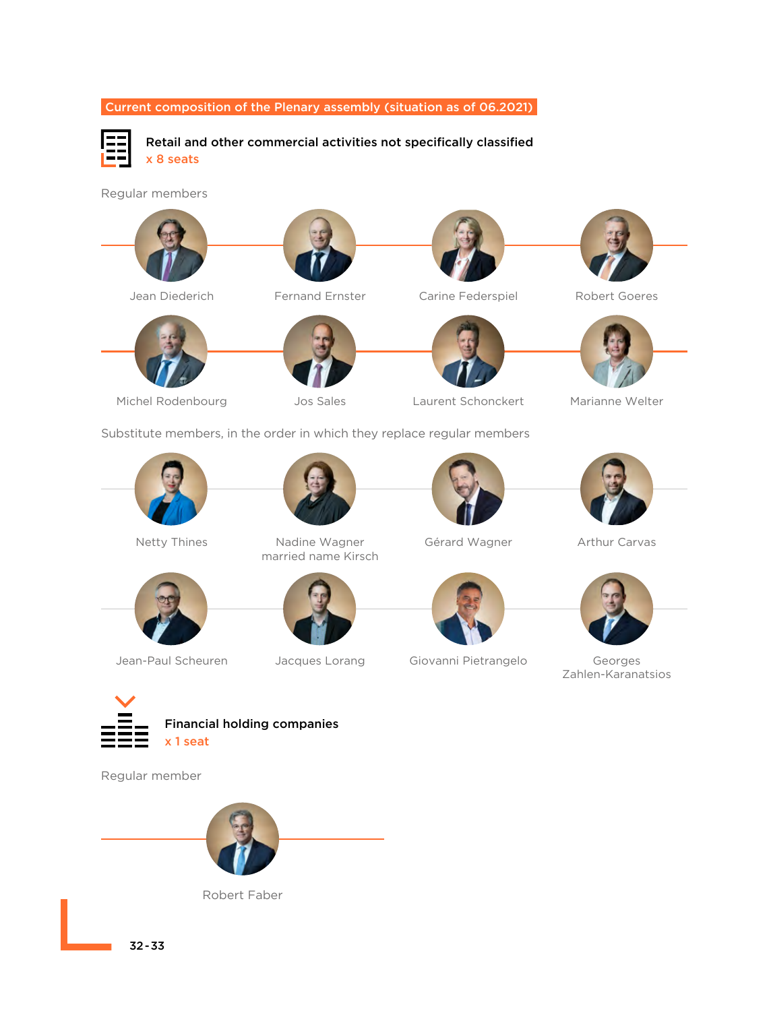

Substitute members, in the order in which they replace regular members









Netty Thines Nadine Wagner married name Kirsch









Jean-Paul Scheuren Jacques Lorang Giovanni Pietrangelo Georges Zahlen-Karanatsios



Financial holding companies x 1 seat

Regular member





32-33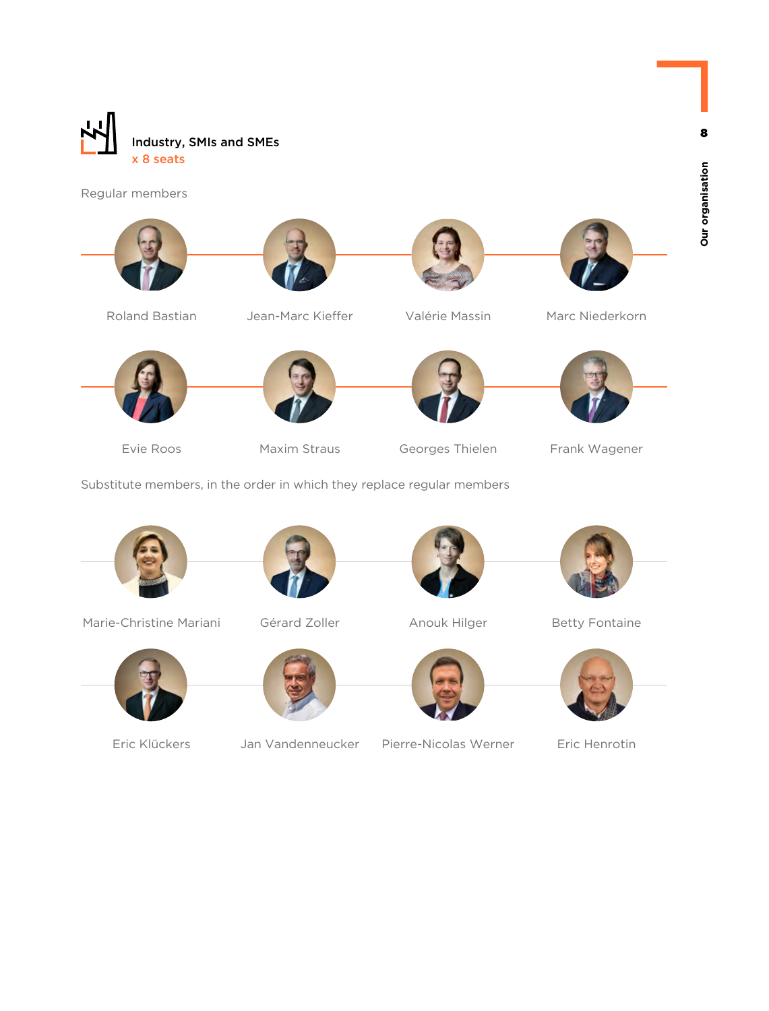

Regular members











- Evie Roos Maxim Straus Georges Thielen Frank Wagener
	-



Substitute members, in the order in which they replace regular members



Marie-Christine Mariani Gérard Zoller Anouk Hilger Betty Fontaine







Eric Klückers Jan Vandenneucker Pierre-Nicolas Werner Eric Henrotin





8